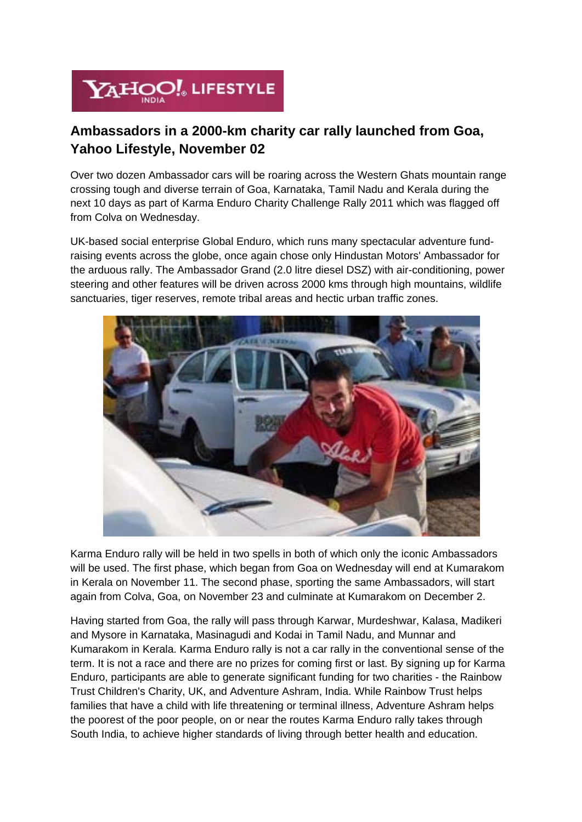

## **Ambassadors in a 2000-km charity car rally launched from Goa, Yahoo Lifestyle, November 02**

Over two dozen Ambassador cars will be roaring across the Western Ghats mountain range crossing tough and diverse terrain of Goa, Karnataka, Tamil Nadu and Kerala during the next 10 days as part of Karma Enduro Charity Challenge Rally 2011 which was flagged off from Colva on Wednesday.

UK-based social enterprise Global Enduro, which runs many spectacular adventure fundraising events across the globe, once again chose only Hindustan Motors' Ambassador for the arduous rally. The Ambassador Grand (2.0 litre diesel DSZ) with air-conditioning, power steering and other features will be driven across 2000 kms through high mountains, wildlife sanctuaries, tiger reserves, remote tribal areas and hectic urban traffic zones.



Karma Enduro rally will be held in two spells in both of which only the iconic Ambassadors will be used. The first phase, which began from Goa on Wednesday will end at Kumarakom in Kerala on November 11. The second phase, sporting the same Ambassadors, will start again from Colva, Goa, on November 23 and culminate at Kumarakom on December 2.

Having started from Goa, the rally will pass through Karwar, Murdeshwar, Kalasa, Madikeri and Mysore in Karnataka, Masinagudi and Kodai in Tamil Nadu, and Munnar and Kumarakom in Kerala. Karma Enduro rally is not a car rally in the conventional sense of the term. It is not a race and there are no prizes for coming first or last. By signing up for Karma Enduro, participants are able to generate significant funding for two charities - the Rainbow Trust Children's Charity, UK, and Adventure Ashram, India. While Rainbow Trust helps families that have a child with life threatening or terminal illness, Adventure Ashram helps the poorest of the poor people, on or near the routes Karma Enduro rally takes through South India, to achieve higher standards of living through better health and education.